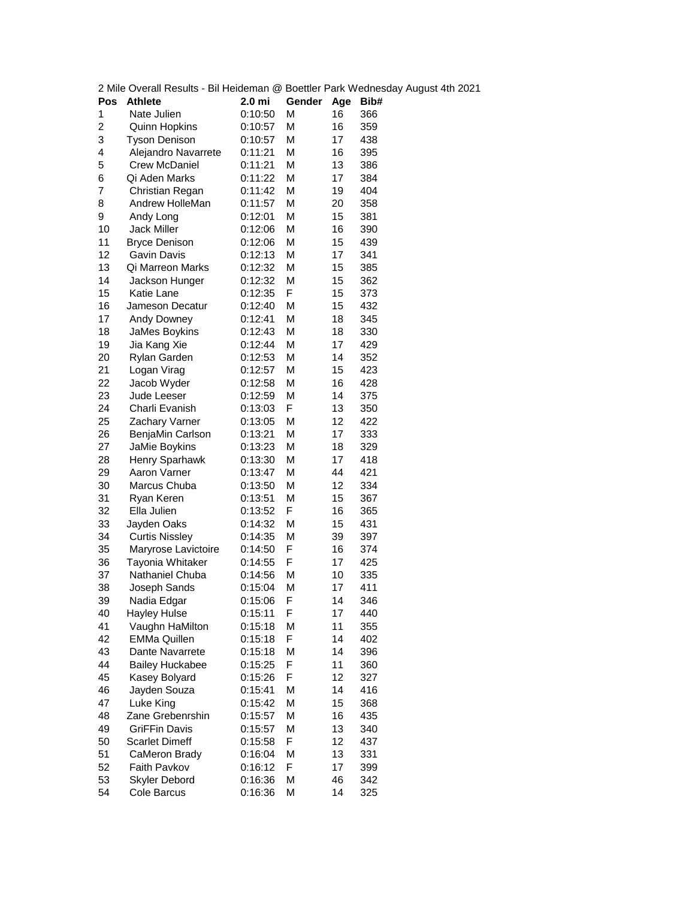| 2 Mile Overall Results - Bil Heideman @ Boettler Park Wednesday |                        |         |        |     |      |  |  |
|-----------------------------------------------------------------|------------------------|---------|--------|-----|------|--|--|
| Pos                                                             | <b>Athlete</b>         | 2.0 mi  | Gender | Age | Bib# |  |  |
| 1                                                               | Nate Julien            | 0:10:50 | М      | 16  | 366  |  |  |
| $\overline{c}$                                                  | <b>Quinn Hopkins</b>   | 0:10:57 | М      | 16  | 359  |  |  |
| 3                                                               | <b>Tyson Denison</b>   | 0:10:57 | М      | 17  | 438  |  |  |
| 4                                                               | Alejandro Navarrete    | 0:11:21 | M      | 16  | 395  |  |  |
| 5                                                               | <b>Crew McDaniel</b>   | 0:11:21 | М      | 13  | 386  |  |  |
| 6                                                               | Qi Aden Marks          | 0:11:22 | М      | 17  | 384  |  |  |
| 7                                                               | Christian Regan        | 0:11:42 | М      | 19  | 404  |  |  |
| 8                                                               | Andrew HolleMan        | 0:11:57 | М      | 20  | 358  |  |  |
| 9                                                               | Andy Long              | 0:12:01 | М      | 15  | 381  |  |  |
| 10                                                              | Jack Miller            | 0:12:06 | М      | 16  | 390  |  |  |
| 11                                                              | <b>Bryce Denison</b>   | 0:12:06 | М      | 15  | 439  |  |  |
| 12                                                              | Gavin Davis            | 0:12:13 | М      | 17  | 341  |  |  |
| 13                                                              | Qi Marreon Marks       | 0:12:32 | М      | 15  | 385  |  |  |
| 14                                                              | Jackson Hunger         | 0:12:32 | М      | 15  | 362  |  |  |
| 15                                                              | Katie Lane             | 0:12:35 | F      | 15  | 373  |  |  |
| 16                                                              | Jameson Decatur        | 0:12:40 | М      | 15  | 432  |  |  |
| 17                                                              | Andy Downey            | 0:12:41 | М      | 18  | 345  |  |  |
| 18                                                              | JaMes Boykins          | 0:12:43 | М      | 18  | 330  |  |  |
| 19                                                              | Jia Kang Xie           | 0:12:44 | М      | 17  | 429  |  |  |
| 20                                                              | Rylan Garden           | 0:12:53 | M      | 14  | 352  |  |  |
| 21                                                              | Logan Virag            | 0:12:57 | М      | 15  | 423  |  |  |
| 22                                                              | Jacob Wyder            | 0:12:58 | М      | 16  | 428  |  |  |
| 23                                                              | Jude Leeser            | 0:12:59 | М      | 14  | 375  |  |  |
| 24                                                              | Charli Evanish         | 0:13:03 | F      | 13  | 350  |  |  |
| 25                                                              | Zachary Varner         | 0:13:05 | М      | 12  | 422  |  |  |
| 26                                                              | BenjaMin Carlson       | 0:13:21 | М      | 17  | 333  |  |  |
| 27                                                              | JaMie Boykins          | 0:13:23 | М      | 18  | 329  |  |  |
| 28                                                              | Henry Sparhawk         | 0:13:30 | М      | 17  | 418  |  |  |
| 29                                                              | Aaron Varner           | 0:13:47 | М      | 44  | 421  |  |  |
| 30                                                              | Marcus Chuba           | 0:13:50 | М      | 12  | 334  |  |  |
| 31                                                              | Ryan Keren             | 0:13:51 | М      | 15  | 367  |  |  |
| 32                                                              | Ella Julien            | 0:13:52 | F      | 16  | 365  |  |  |
| 33                                                              | Jayden Oaks            | 0:14:32 | М      | 15  | 431  |  |  |
| 34                                                              | <b>Curtis Nissley</b>  | 0:14:35 | М      | 39  | 397  |  |  |
| 35                                                              | Maryrose Lavictoire    | 0:14:50 | F      | 16  | 374  |  |  |
| 36                                                              | Tayonia Whitaker       | 0:14:55 | F      | 17  | 425  |  |  |
| 37                                                              | Nathaniel Chuba        | 0:14:56 | М      | 10  | 335  |  |  |
| 38                                                              | Joseph Sands           | 0:15:04 | М      | 17  | 411  |  |  |
| 39                                                              | Nadia Edgar            | 0:15:06 | F      | 14  | 346  |  |  |
| 40                                                              | <b>Hayley Hulse</b>    | 0:15:11 | F      | 17  | 440  |  |  |
| 41                                                              | Vaughn HaMilton        | 0:15:18 | М      | 11  | 355  |  |  |
| 42                                                              | <b>EMMa Quillen</b>    | 0:15:18 | F      | 14  | 402  |  |  |
| 43                                                              | Dante Navarrete        | 0:15:18 | М      | 14  | 396  |  |  |
| 44                                                              | <b>Bailey Huckabee</b> | 0:15:25 | F      | 11  | 360  |  |  |
| 45                                                              | Kasey Bolyard          | 0:15:26 | F      | 12  | 327  |  |  |
| 46                                                              | Jayden Souza           | 0:15:41 | М      | 14  | 416  |  |  |
| 47                                                              | Luke King              |         | M      |     |      |  |  |
| 48                                                              | Zane Grebenrshin       | 0:15:42 | М      | 15  | 368  |  |  |
|                                                                 |                        | 0:15:57 |        | 16  | 435  |  |  |
| 49                                                              | <b>GriFFin Davis</b>   | 0:15:57 | М      | 13  | 340  |  |  |
| 50                                                              | <b>Scarlet Dimeff</b>  | 0:15:58 | F      | 12  | 437  |  |  |
| 51                                                              | CaMeron Brady          | 0:16:04 | М      | 13  | 331  |  |  |
| 52                                                              | Faith Pavkov           | 0:16:12 | F      | 17  | 399  |  |  |
| 53                                                              | Skyler Debord          | 0:16:36 | M      | 46  | 342  |  |  |
| 54                                                              | Cole Barcus            | 0:16:36 | М      | 14  | 325  |  |  |

2 August 4th 2021